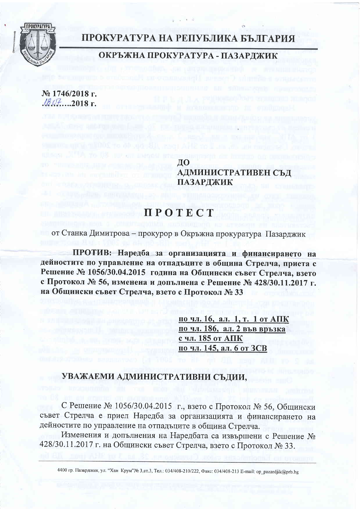

## ПРОКУРАТУРА НА РЕПУБЛИКА БЪЛГАРИЯ

# ОКРЪЖНА ПРОКУРАТУРА - ПАЗАРДЖИК

№ 1746/2018 г.  $1807$  ... 2018 r.

> ДО АДМИНИСТРАТИВЕН СЪД ПАЗАРДЖИК

# **IIPOTECT**

от Станка Димитрова - прокурор в Окръжна прокуратура Пазарджик

ПРОТИВ: Наредба за организацията и финансирането на дейностите по управление на отпадъците в община Стрелча, приета с Решение № 1056/30.04.2015 година на Общински съвет Стрелча, взето с Протокол № 56, изменена и допълнена с Решение № 428/30.11.2017 г. на Общински съвет Стрелча, взето с Протокол № 33

> по чл. 16, ал. 1, т. 1 от АПК по чл. 186, ал. 2 във връзка <u>с чл. 185 от АПК</u> по чл. 145, ал. 6 от ЗСВ

### УВАЖАЕМИ АДМИНИСТРАТИВНИ СЪДИИ,

С Решение № 1056/30.04.2015 г., взето с Протокол № 56, Общински съвет Стрелча е приел Наредба за организацията и финансирането на дейностите по управление на отпадъците в община Стрелча.

Изменения и допълнения на Наредбата са извършени с Решение № 428/30.11.2017 г. на Общински съвет Стрелча, взето с Протокол № 33.

4400 гр. Пазарджик, ул. "Хан Крум"№ 3,ет.3, Тел.: 034/408-210/222, Факс: 034/408-213 Е-mail: ор\_раzardjik@prb.bg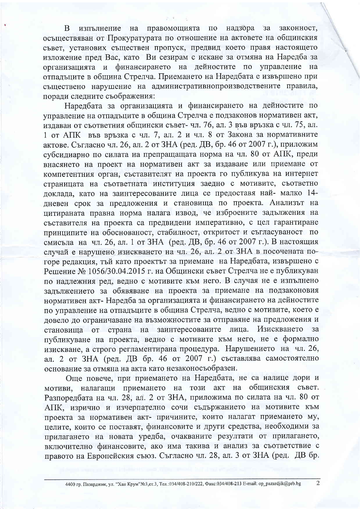правомощията по надзора изпълнение на  $3a$ законност, B. осъществяван от Прокуратурата по отношение на актовете на общинския съвет, установих съществен пропуск, предвид което правя настоящето изложение пред Вас, като Ви сезирам с искане за отмяна на Наредба за организацията и финансирането на дейностите по управление на отпальните в обшина Стрелча. Приемането на Наредбата е извършено при съществено нарушение на административнопроизводствените правила, поради следните съображения:

Наредбата за организацията и финансирането на дейностите по управление на отпадъците в община Стрелча е подзаконов нормативен акт, излаван от съответния общински съвет-чл. 76, ал. 3 във връзка с чл. 75, ал. 1 от АПК във връзка с чл. 7, ал. 2 и чл. 8 от Закона за нормативните актове. Съгласно чл. 26, ал. 2 от ЗНА (ред. ДВ, бр. 46 от 2007 г.), приложим субсидиарно по силата на препращащата норма на чл. 80 от АПК, преди внасянето на проект на нормативен акт за издаване или приемане от компетентния орган, съставителят на проекта го публикува на интернет страницата на съответната институция заедно с мотивите, съответно доклада, като на заинтересованите лица се предоставя най- малко 14дневен срок за предложения и становища по проекта. Анализът на цитираната правна норма налага извод, че изброените задължения на съставителя на проекта са предвидени императивно, с цел гарантиране принципите на обоснованост, стабилност, откритост и съгласуваност по смисъла на чл. 26, ал. 1 от ЗНА (ред. ДВ, бр. 46 от 2007 г.). В настоящия случай е нарушено изискването на чл. 26, ал. 2 от ЗНА в посочената погоре редакция, тъй като проектът за приемане на Наредбата, извършено с Решение № 1056/30.04.2015 г. на Общински съвет Стрелча не е публикуван по надлежния ред, ведно с мотивите към него. В случая не е изпълнено залължението за обявяване на проекта за приемане на подзаконовия нормативен акт- Наредба за организацията и финансирането на дейностите по управление на отпадъците в община Стрелча, ведно с мотивите, което е довело до ограничаване на възможностите за отправяне на предложения и становища от страна на заинтересованите лица. Изискването  $3a$ публикуване на проекта, ведно с мотивите към него, не е формално изискване, а строго регламентирана процедура. Нарушението на чл. 26, ал. 2 от ЗНА (ред. ДВ бр. 46 от 2007 г.) съставлява самостоятелно основание за отмяна на акта като незаконосъобразен.

Още повече, при приемането на Наредбата, не са налице дори и мотиви, налагащи приемането на този акт на общинския съвет. Разпоредбата на чл. 28, ал. 2 от ЗНА, приложима по силата на чл. 80 от АПК, изрично и изчерпателно сочи съдържанието на мотивите към проекта за нормативен акт- причините, които налагат приемането му, целите, които се поставят, финансовите и други средства, необходими за прилагането на новата уредба, очакваните резултати от прилагането, включително финансовите, ако има такива и анализ за съответствие с правото на Европейския съюз. Съгласно чл. 28, ал. 3 от ЗНА (ред. ДВ бр.

 $\overline{2}$